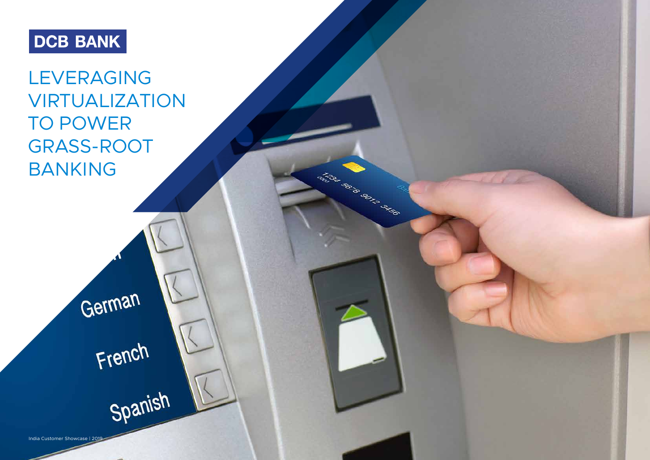# **DCB BANK**

LEVERAGING VIRTUALIZATION TO POWER GRASS-ROOT BANKING

German

French

Spanish

India Customer Showcase | 2019



ARIST BOOM PSICE